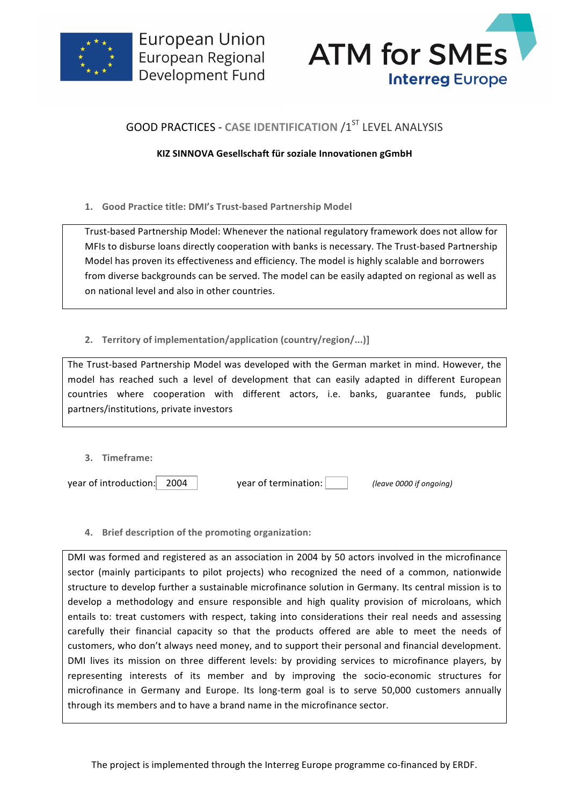



# **GOOD PRACTICES - CASE IDENTIFICATION /1ST LEVEL ANALYSIS**

## **KIZ SINNOVA Gesellschaft für soziale Innovationen gGmbH**

1. **Good Practice title: DMI's Trust-based Partnership Model** 

Trust-based Partnership Model: Whenever the national regulatory framework does not allow for MFIs to disburse loans directly cooperation with banks is necessary. The Trust-based Partnership Model has proven its effectiveness and efficiency. The model is highly scalable and borrowers from diverse backgrounds can be served. The model can be easily adapted on regional as well as on national level and also in other countries.

# 2. **Territory of implementation/application (country/region/...)]**

The Trust-based Partnership Model was developed with the German market in mind. However, the model has reached such a level of development that can easily adapted in different European countries where cooperation with different actors, i.e. banks, guarantee funds, public partners/institutions, private investors

**3. Timeframe:**

year of introduction: **2004** vear of termination: *(leave 0000 if ongoing)* 

**4.** Brief description of the promoting organization:

DMI was formed and registered as an association in 2004 by 50 actors involved in the microfinance sector (mainly participants to pilot projects) who recognized the need of a common, nationwide structure to develop further a sustainable microfinance solution in Germany. Its central mission is to develop a methodology and ensure responsible and high quality provision of microloans, which entails to: treat customers with respect, taking into considerations their real needs and assessing carefully their financial capacity so that the products offered are able to meet the needs of customers, who don't always need money, and to support their personal and financial development. DMI lives its mission on three different levels: by providing services to microfinance players, by representing interests of its member and by improving the socio-economic structures for microfinance in Germany and Europe. Its long-term goal is to serve 50,000 customers annually through its members and to have a brand name in the microfinance sector.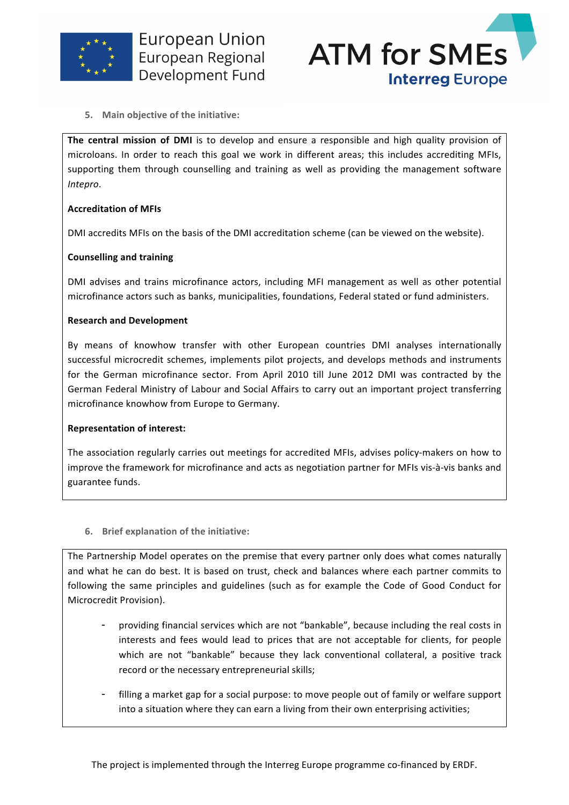

**European Union** European Regional Development Fund



**5.** Main objective of the initiative:

The central mission of DMI is to develop and ensure a responsible and high quality provision of microloans. In order to reach this goal we work in different areas; this includes accrediting MFIs, supporting them through counselling and training as well as providing the management software *Intepro*. 

#### **Accreditation of MFIs**

DMI accredits MFIs on the basis of the DMI accreditation scheme (can be viewed on the website).

#### **Counselling and training**

DMI advises and trains microfinance actors, including MFI management as well as other potential microfinance actors such as banks, municipalities, foundations, Federal stated or fund administers.

#### **Research and Development**

By means of knowhow transfer with other European countries DMI analyses internationally successful microcredit schemes, implements pilot projects, and develops methods and instruments for the German microfinance sector. From April 2010 till June 2012 DMI was contracted by the German Federal Ministry of Labour and Social Affairs to carry out an important project transferring microfinance knowhow from Europe to Germany.

#### **Representation of interest:**

The association regularly carries out meetings for accredited MFIs, advises policy-makers on how to improve the framework for microfinance and acts as negotiation partner for MFIs vis-à-vis banks and guarantee funds.

**6.** Brief explanation of the initiative:

The Partnership Model operates on the premise that every partner only does what comes naturally and what he can do best. It is based on trust, check and balances where each partner commits to following the same principles and guidelines (such as for example the Code of Good Conduct for Microcredit Provision).

- providing financial services which are not "bankable", because including the real costs in interests and fees would lead to prices that are not acceptable for clients, for people which are not "bankable" because they lack conventional collateral, a positive track record or the necessary entrepreneurial skills;
- filling a market gap for a social purpose: to move people out of family or welfare support into a situation where they can earn a living from their own enterprising activities;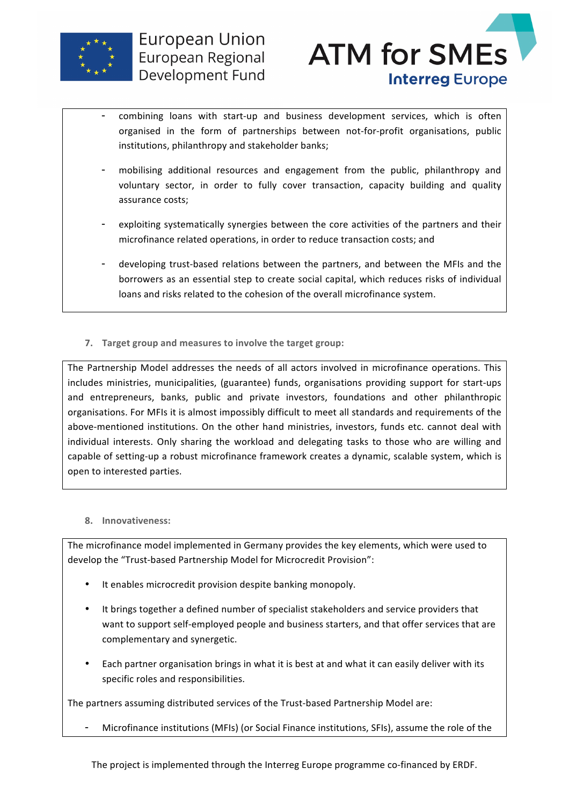



- combining loans with start-up and business development services, which is often organised in the form of partnerships between not-for-profit organisations, public institutions, philanthropy and stakeholder banks;
- mobilising additional resources and engagement from the public, philanthropy and voluntary sector, in order to fully cover transaction, capacity building and quality assurance costs;
- exploiting systematically synergies between the core activities of the partners and their microfinance related operations, in order to reduce transaction costs; and
- developing trust-based relations between the partners, and between the MFIs and the borrowers as an essential step to create social capital, which reduces risks of individual loans and risks related to the cohesion of the overall microfinance system.
- **7. Target group and measures to involve the target group:**

The Partnership Model addresses the needs of all actors involved in microfinance operations. This includes ministries, municipalities, (guarantee) funds, organisations providing support for start-ups and entrepreneurs, banks, public and private investors, foundations and other philanthropic organisations. For MFIs it is almost impossibly difficult to meet all standards and requirements of the above-mentioned institutions. On the other hand ministries, investors, funds etc. cannot deal with individual interests. Only sharing the workload and delegating tasks to those who are willing and capable of setting-up a robust microfinance framework creates a dynamic, scalable system, which is open to interested parties.

## **8. Innovativeness:**

The microfinance model implemented in Germany provides the key elements, which were used to develop the "Trust-based Partnership Model for Microcredit Provision":

- It enables microcredit provision despite banking monopoly.
- It brings together a defined number of specialist stakeholders and service providers that want to support self-employed people and business starters, and that offer services that are complementary and synergetic.
- Each partner organisation brings in what it is best at and what it can easily deliver with its specific roles and responsibilities.

The partners assuming distributed services of the Trust-based Partnership Model are:

Microfinance institutions (MFIs) (or Social Finance institutions, SFIs), assume the role of the

The project is implemented through the Interreg Europe programme co-financed by ERDF.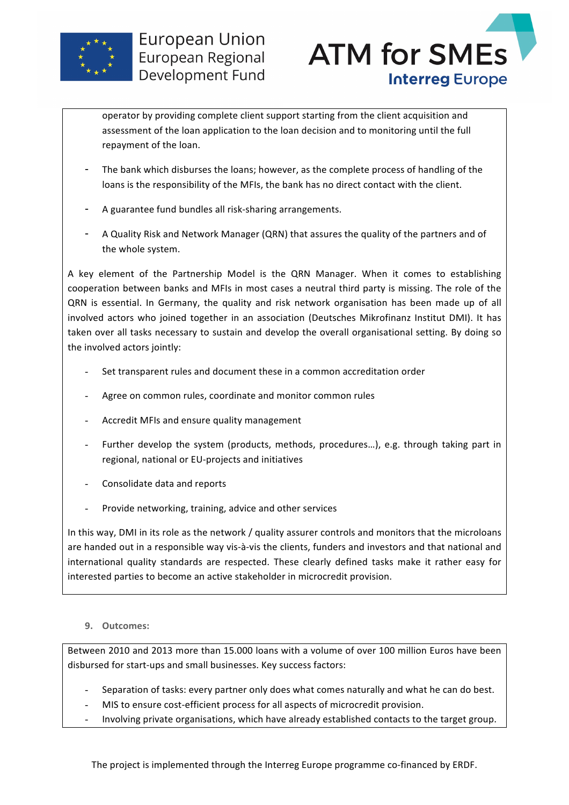



operator by providing complete client support starting from the client acquisition and assessment of the loan application to the loan decision and to monitoring until the full repayment of the loan.

- The bank which disburses the loans; however, as the complete process of handling of the loans is the responsibility of the MFIs, the bank has no direct contact with the client.
- A guarantee fund bundles all risk-sharing arrangements.
- A Quality Risk and Network Manager (QRN) that assures the quality of the partners and of the whole system.

A key element of the Partnership Model is the QRN Manager. When it comes to establishing cooperation between banks and MFIs in most cases a neutral third party is missing. The role of the QRN is essential. In Germany, the quality and risk network organisation has been made up of all involved actors who joined together in an association (Deutsches Mikrofinanz Institut DMI). It has taken over all tasks necessary to sustain and develop the overall organisational setting. By doing so the involved actors jointly:

- Set transparent rules and document these in a common accreditation order
- Agree on common rules, coordinate and monitor common rules
- Accredit MFIs and ensure quality management
- Further develop the system (products, methods, procedures...), e.g. through taking part in regional, national or EU-projects and initiatives
- Consolidate data and reports
- Provide networking, training, advice and other services

In this way, DMI in its role as the network / quality assurer controls and monitors that the microloans are handed out in a responsible way vis-à-vis the clients, funders and investors and that national and international quality standards are respected. These clearly defined tasks make it rather easy for interested parties to become an active stakeholder in microcredit provision.

## **9. Outcomes:**

Between 2010 and 2013 more than 15.000 loans with a volume of over 100 million Euros have been disbursed for start-ups and small businesses. Key success factors:

- Separation of tasks: every partner only does what comes naturally and what he can do best.
- MIS to ensure cost-efficient process for all aspects of microcredit provision.
- Involving private organisations, which have already established contacts to the target group.